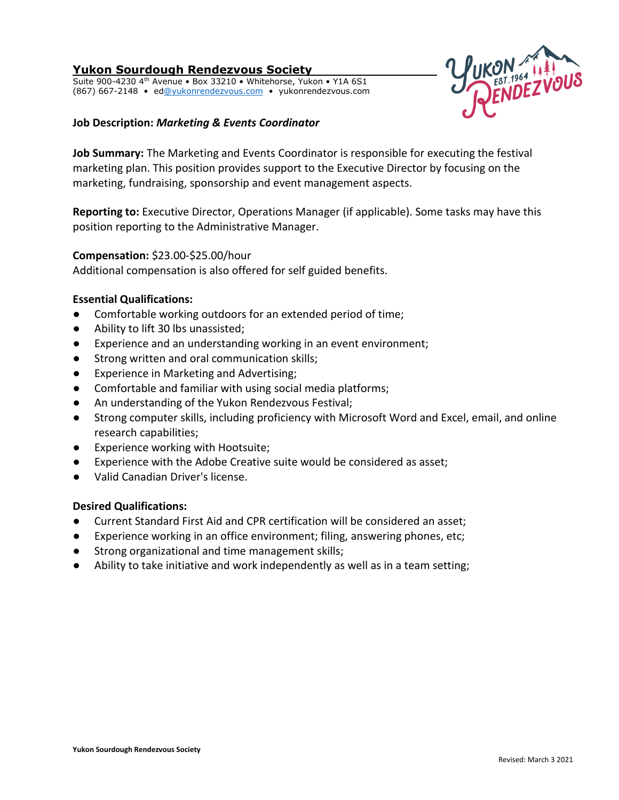# **Yukon Sourdough Rendezvous Society**

Suite 900-4230 4<sup>th</sup> Avenue . Box 33210 . Whitehorse, Yukon . Y1A 6S1 (867) 667-2148 • e[d@yukonrendezvous.com](mailto:office@yukonrendezvous.com) • yukonrendezvous.com



## **Job Description:** *Marketing & Events Coordinator*

**Job Summary:** The Marketing and Events Coordinator is responsible for executing the festival marketing plan. This position provides support to the Executive Director by focusing on the marketing, fundraising, sponsorship and event management aspects.

**Reporting to:** Executive Director, Operations Manager (if applicable). Some tasks may have this position reporting to the Administrative Manager.

## **Compensation:** \$23.00-\$25.00/hour

Additional compensation is also offered for self guided benefits.

## **Essential Qualifications:**

- Comfortable working outdoors for an extended period of time;
- Ability to lift 30 lbs unassisted;
- Experience and an understanding working in an event environment;
- Strong written and oral communication skills;
- Experience in Marketing and Advertising;
- Comfortable and familiar with using social media platforms;
- An understanding of the Yukon Rendezvous Festival;
- Strong computer skills, including proficiency with Microsoft Word and Excel, email, and online research capabilities;
- Experience working with Hootsuite;
- Experience with the Adobe Creative suite would be considered as asset;
- Valid Canadian Driver's license.

## **Desired Qualifications:**

- Current Standard First Aid and CPR certification will be considered an asset;
- Experience working in an office environment; filing, answering phones, etc;
- Strong organizational and time management skills;
- Ability to take initiative and work independently as well as in a team setting;